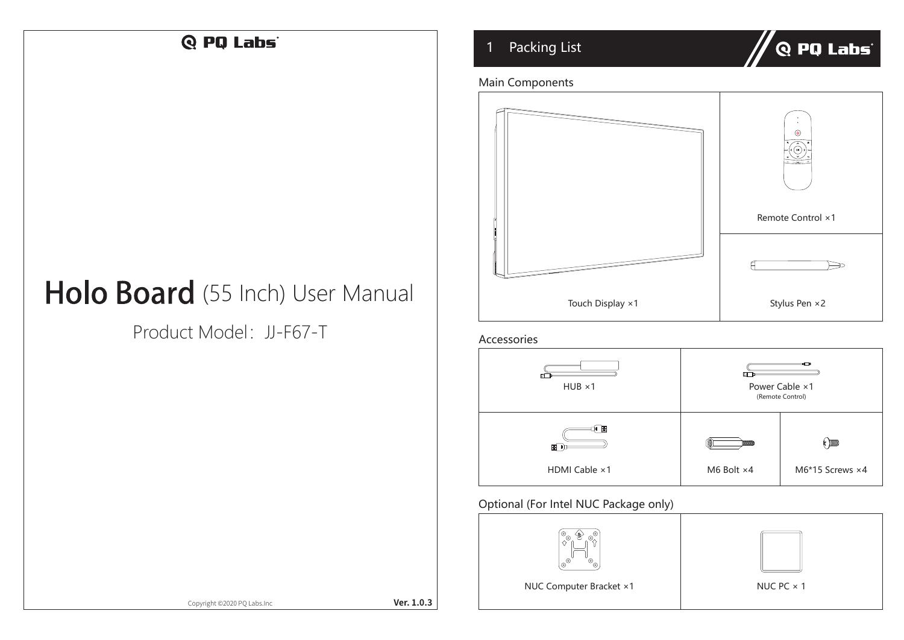### **Q** PQ Labs'

# Holo Board (55 Inch) User Manual

Product Model: JJ-F67-T

### 1 Packing List

**Q** PQ Labs

Main Components



Accessories



#### Optional (For Intel NUC Package only)





NUC Computer Bracket ×1 NUC PC × 1

Copyright ©2020 PQ Labs.Inc **Ver. 1.0.3**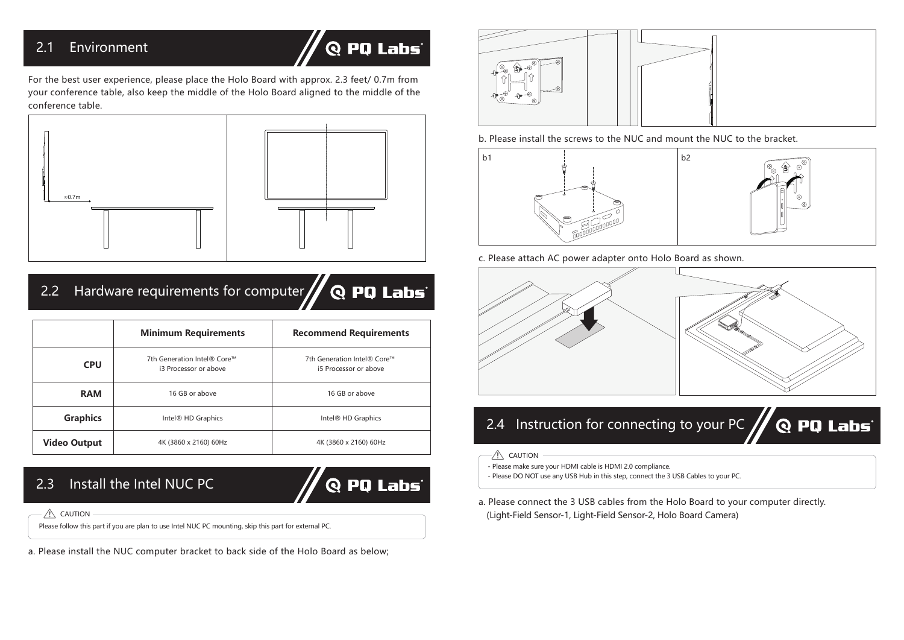### 2.1 Environment

# **Q** PQ Labs

For the best user experience, please place the Holo Board with approx. 2.3 feet/ 0.7m from your conference table, also keep the middle of the Holo Board aligned to the middle of the conference table.



#### 2.2 Hardware requirements for computer $\sqrt{\phantom{a}}$ **Q** PQ Labs®

|                     | <b>Minimum Requirements</b>                          | <b>Recommend Requirements</b>                        |
|---------------------|------------------------------------------------------|------------------------------------------------------|
| <b>CPU</b>          | 7th Generation Intel® Core™<br>i3 Processor or above | 7th Generation Intel® Core™<br>15 Processor or above |
| <b>RAM</b>          | 16 GB or above                                       | 16 GB or above                                       |
| <b>Graphics</b>     | Intel <sup>®</sup> HD Graphics                       | Intel <sup>®</sup> HD Graphics                       |
| <b>Video Output</b> | 4K (3860 x 2160) 60Hz                                | 4K (3860 x 2160) 60Hz                                |

### 2.3 Install the Intel NUC PC



#### $-\bigwedge$  Caution

Please follow this part if you are plan to use Intel NUC PC mounting, skip this part for external PC.

a. Please install the NUC computer bracket to back side of the Holo Board as below;



b. Please install the screws to the NUC and mount the NUC to the bracket.



c. Please attach AC power adapter onto Holo Board as shown.



 $-\sqrt{N}$  CAUTION

- Please make sure your HDMI cable is HDMI 2.0 compliance.
- Please DO NOT use any USB Hub in this step, connect the 3 USB Cables to your PC.
- a. Please connect the 3 USB cables from the Holo Board to your computer directly. (Light-Field Sensor-1, Light-Field Sensor-2, Holo Board Camera)